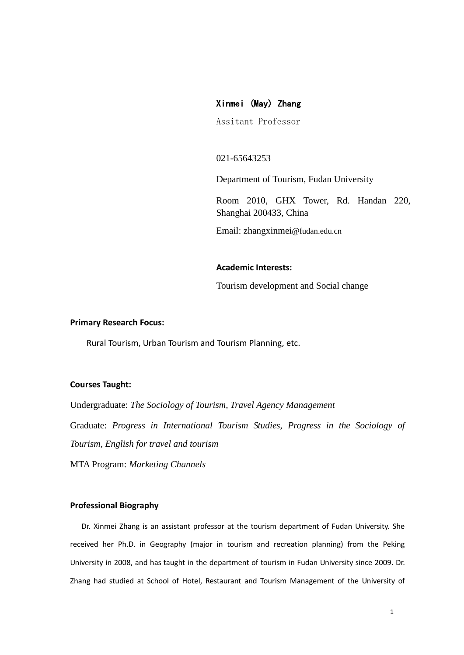# Xinmei (May) Zhang

Assitant Professor

# 021-65643253

Department of Tourism, Fudan University

Room 2010, GHX Tower, Rd. Handan 220, Shanghai 200433, China

Email: zhangxinmei@fudan.edu.cn

### **Academic Interests:**

Tourism development and Social change

# **Primary Research Focus:**

Rural Tourism, Urban Tourism and Tourism Planning, etc.

#### **Courses Taught:**

Undergraduate: *The Sociology of Tourism, Travel Agency Management* Graduate: *Progress in International Tourism Studies*, *Progress in the Sociology of Tourism, English for travel and tourism*

MTA Program: *Marketing Channels*

# **Professional Biography**

Dr. Xinmei Zhang is an assistant professor at the tourism department of Fudan University. She received her Ph.D. in Geography (major in tourism and recreation planning) from the Peking University in 2008, and has taught in the department of tourism in Fudan University since 2009. Dr. Zhang had studied at School of Hotel, Restaurant and Tourism Management of the University of